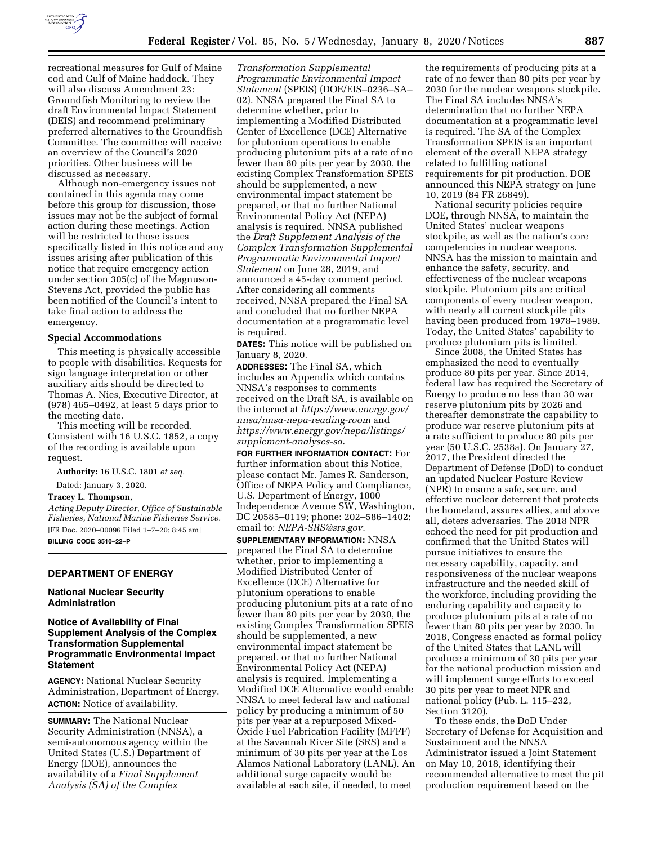

recreational measures for Gulf of Maine cod and Gulf of Maine haddock. They will also discuss Amendment 23: Groundfish Monitoring to review the draft Environmental Impact Statement (DEIS) and recommend preliminary preferred alternatives to the Groundfish Committee. The committee will receive an overview of the Council's 2020 priorities. Other business will be discussed as necessary.

Although non-emergency issues not contained in this agenda may come before this group for discussion, those issues may not be the subject of formal action during these meetings. Action will be restricted to those issues specifically listed in this notice and any issues arising after publication of this notice that require emergency action under section 305(c) of the Magnuson-Stevens Act, provided the public has been notified of the Council's intent to take final action to address the emergency.

#### **Special Accommodations**

This meeting is physically accessible to people with disabilities. Requests for sign language interpretation or other auxiliary aids should be directed to Thomas A. Nies, Executive Director, at (978) 465–0492, at least 5 days prior to the meeting date.

This meeting will be recorded. Consistent with 16 U.S.C. 1852, a copy of the recording is available upon request.

**Authority:** 16 U.S.C. 1801 *et seq.* 

Dated: January 3, 2020.

## **Tracey L. Thompson,**

*Acting Deputy Director, Office of Sustainable Fisheries, National Marine Fisheries Service.*  [FR Doc. 2020–00096 Filed 1–7–20; 8:45 am] **BILLING CODE 3510–22–P** 

# **DEPARTMENT OF ENERGY**

#### **National Nuclear Security Administration**

## **Notice of Availability of Final Supplement Analysis of the Complex Transformation Supplemental Programmatic Environmental Impact Statement**

**AGENCY:** National Nuclear Security Administration, Department of Energy. **ACTION:** Notice of availability.

**SUMMARY:** The National Nuclear Security Administration (NNSA), a semi-autonomous agency within the United States (U.S.) Department of Energy (DOE), announces the availability of a *Final Supplement Analysis (SA) of the Complex* 

*Transformation Supplemental Programmatic Environmental Impact Statement* (SPEIS) (DOE/EIS–0236–SA– 02). NNSA prepared the Final SA to determine whether, prior to implementing a Modified Distributed Center of Excellence (DCE) Alternative for plutonium operations to enable producing plutonium pits at a rate of no fewer than 80 pits per year by 2030, the existing Complex Transformation SPEIS should be supplemented, a new environmental impact statement be prepared, or that no further National Environmental Policy Act (NEPA) analysis is required. NNSA published the *Draft Supplement Analysis of the Complex Transformation Supplemental Programmatic Environmental Impact Statement* on June 28, 2019, and announced a 45-day comment period. After considering all comments received, NNSA prepared the Final SA and concluded that no further NEPA documentation at a programmatic level is required.

**DATES:** This notice will be published on January 8, 2020.

**ADDRESSES:** The Final SA, which includes an Appendix which contains NNSA's responses to comments received on the Draft SA, is available on the internet at *[https://www.energy.gov/](https://www.energy.gov/nnsa/nnsa-nepa-reading-room) [nnsa/nnsa-nepa-reading-room](https://www.energy.gov/nnsa/nnsa-nepa-reading-room)* and *[https://www.energy.gov/nepa/listings/](https://www.energy.gov/nepa/listings/supplement-analyses-sa)  [supplement-analyses-sa](https://www.energy.gov/nepa/listings/supplement-analyses-sa)*.

**FOR FURTHER INFORMATION CONTACT:** For further information about this Notice, please contact Mr. James R. Sanderson, Office of NEPA Policy and Compliance, U.S. Department of Energy, 1000 Independence Avenue SW, Washington, DC 20585–0119; phone: 202–586–1402; email to: *[NEPA-SRS@srs.gov](mailto:NEPA-SRS@srs.gov)*.

**SUPPLEMENTARY INFORMATION:** NNSA prepared the Final SA to determine whether, prior to implementing a Modified Distributed Center of Excellence (DCE) Alternative for plutonium operations to enable producing plutonium pits at a rate of no fewer than 80 pits per year by 2030, the existing Complex Transformation SPEIS should be supplemented, a new environmental impact statement be prepared, or that no further National Environmental Policy Act (NEPA) analysis is required. Implementing a Modified DCE Alternative would enable NNSA to meet federal law and national policy by producing a minimum of 50 pits per year at a repurposed Mixed-Oxide Fuel Fabrication Facility (MFFF) at the Savannah River Site (SRS) and a minimum of 30 pits per year at the Los Alamos National Laboratory (LANL). An additional surge capacity would be available at each site, if needed, to meet

the requirements of producing pits at a rate of no fewer than 80 pits per year by 2030 for the nuclear weapons stockpile. The Final SA includes NNSA's determination that no further NEPA documentation at a programmatic level is required. The SA of the Complex Transformation SPEIS is an important element of the overall NEPA strategy related to fulfilling national requirements for pit production. DOE announced this NEPA strategy on June 10, 2019 (84 FR 26849).

National security policies require DOE, through NNSA, to maintain the United States' nuclear weapons stockpile, as well as the nation's core competencies in nuclear weapons. NNSA has the mission to maintain and enhance the safety, security, and effectiveness of the nuclear weapons stockpile. Plutonium pits are critical components of every nuclear weapon, with nearly all current stockpile pits having been produced from 1978–1989. Today, the United States' capability to produce plutonium pits is limited.

Since 2008, the United States has emphasized the need to eventually produce 80 pits per year. Since 2014, federal law has required the Secretary of Energy to produce no less than 30 war reserve plutonium pits by 2026 and thereafter demonstrate the capability to produce war reserve plutonium pits at a rate sufficient to produce 80 pits per year (50 U.S.C. 2538a). On January 27, 2017, the President directed the Department of Defense (DoD) to conduct an updated Nuclear Posture Review (NPR) to ensure a safe, secure, and effective nuclear deterrent that protects the homeland, assures allies, and above all, deters adversaries. The 2018 NPR echoed the need for pit production and confirmed that the United States will pursue initiatives to ensure the necessary capability, capacity, and responsiveness of the nuclear weapons infrastructure and the needed skill of the workforce, including providing the enduring capability and capacity to produce plutonium pits at a rate of no fewer than 80 pits per year by 2030. In 2018, Congress enacted as formal policy of the United States that LANL will produce a minimum of 30 pits per year for the national production mission and will implement surge efforts to exceed 30 pits per year to meet NPR and national policy (Pub. L. 115–232, Section 3120).

To these ends, the DoD Under Secretary of Defense for Acquisition and Sustainment and the NNSA Administrator issued a Joint Statement on May 10, 2018, identifying their recommended alternative to meet the pit production requirement based on the